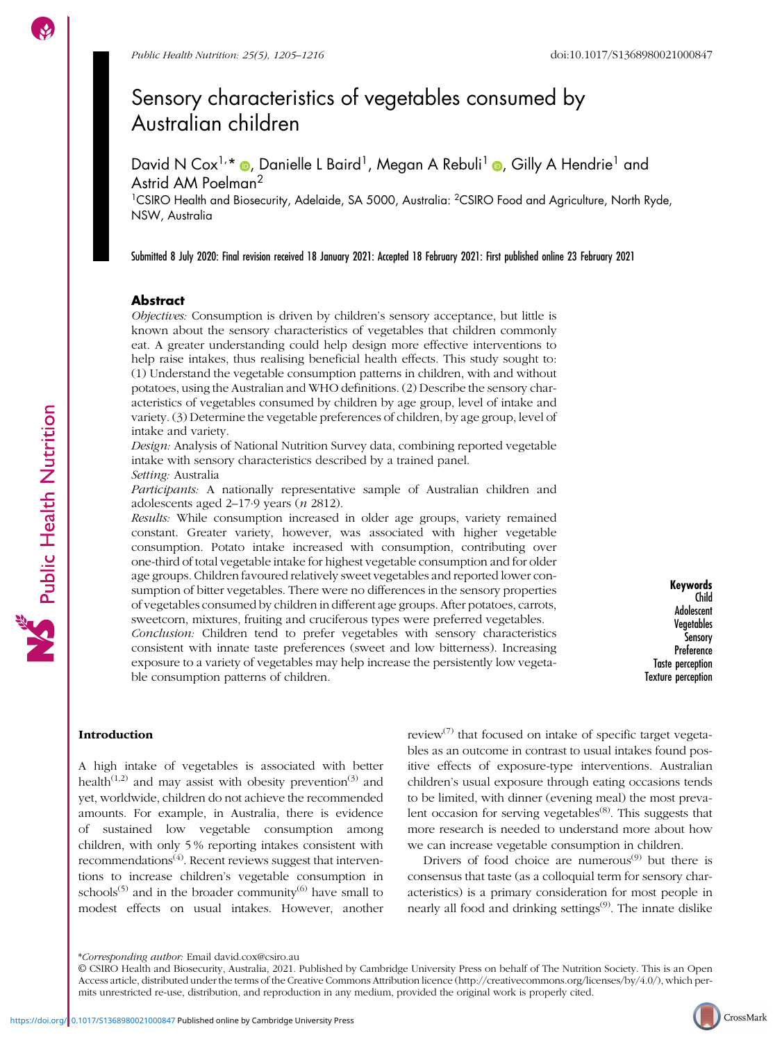# Sensory characteristics of vegetables consumed by Australian children

David N Cox<sup>1[,](https://orcid.org/0000-0002-1934-5813)</sup>\* ®, Danielle L Baird<sup>1</sup>, Megan A Rebuli<sup>1</sup> ®, Gilly A Hendrie<sup>1</sup> and Astrid AM Poelman<sup>2</sup>

<sup>1</sup>CSIRO Health and Biosecurity, Adelaide, SA 5000, Australia: <sup>2</sup>CSIRO Food and Agriculture, North Ryde, NSW, Australia

Submitted 8 July 2020: Final revision received 18 January 2021: Accepted 18 February 2021: First published online 23 February 2021

### Abstract

Objectives: Consumption is driven by children's sensory acceptance, but little is known about the sensory characteristics of vegetables that children commonly eat. A greater understanding could help design more effective interventions to help raise intakes, thus realising beneficial health effects. This study sought to: (1) Understand the vegetable consumption patterns in children, with and without potatoes, using the Australian and WHO definitions. (2) Describe the sensory characteristics of vegetables consumed by children by age group, level of intake and variety. (3) Determine the vegetable preferences of children, by age group, level of intake and variety.

Design: Analysis of National Nutrition Survey data, combining reported vegetable intake with sensory characteristics described by a trained panel. Setting: Australia

Participants: A nationally representative sample of Australian children and adolescents aged 2–17·9 years (n 2812).

Results: While consumption increased in older age groups, variety remained constant. Greater variety, however, was associated with higher vegetable consumption. Potato intake increased with consumption, contributing over one-third of total vegetable intake for highest vegetable consumption and for older age groups. Children favoured relatively sweet vegetables and reported lower consumption of bitter vegetables. There were no differences in the sensory properties of vegetables consumed by children in different age groups. After potatoes, carrots, sweetcorn, mixtures, fruiting and cruciferous types were preferred vegetables. Conclusion: Children tend to prefer vegetables with sensory characteristics consistent with innate taste preferences (sweet and low bitterness). Increasing exposure to a variety of vegetables may help increase the persistently low vegetable consumption patterns of children.

Keywords Child Adolescent **Vegetables** Sensory **Preference** Taste perception Texture perception

#### Introduction

A high intake of vegetables is associated with better health<sup>([1](#page-10-0),[2](#page-10-0))</sup> and may assist with obesity prevention<sup>[\(3\)](#page-10-0)</sup> and yet, worldwide, children do not achieve the recommended amounts. For example, in Australia, there is evidence of sustained low vegetable consumption among children, with only 5 % reporting intakes consistent with recommendations $(4)$  $(4)$ . Recent reviews suggest that interventions to increase children's vegetable consumption in schools<sup>[\(5](#page-10-0))</sup> and in the broader community<sup>([6\)](#page-10-0)</sup> have small to modest effects on usual intakes. However, another review $(7)$  $(7)$  that focused on intake of specific target vegetables as an outcome in contrast to usual intakes found positive effects of exposure-type interventions. Australian children's usual exposure through eating occasions tends to be limited, with dinner (evening meal) the most preva-lent occasion for serving vegetables<sup>[\(8\)](#page-10-0)</sup>. This suggests that more research is needed to understand more about how we can increase vegetable consumption in children.

Drivers of food choice are numerous $(9)$  but there is consensus that taste (as a colloquial term for sensory characteristics) is a primary consideration for most people in nearly all food and drinking settings<sup>[\(9\)](#page-10-0)</sup>. The innate dislike



<sup>\*</sup>Corresponding author: Email david.cox@csiro.au

<sup>©</sup> CSIRO Health and Biosecurity, Australia, 2021. Published by Cambridge University Press on behalf of The Nutrition Society. This is an Open Access article, distributed under the terms of the Creative Commons Attribution licence [\(http://creativecommons.org/licenses/by/4.0/\)](http://creativecommons.org/licenses/by/4.0/), which permits unrestricted re-use, distribution, and reproduction in any medium, provided the original work is properly cited.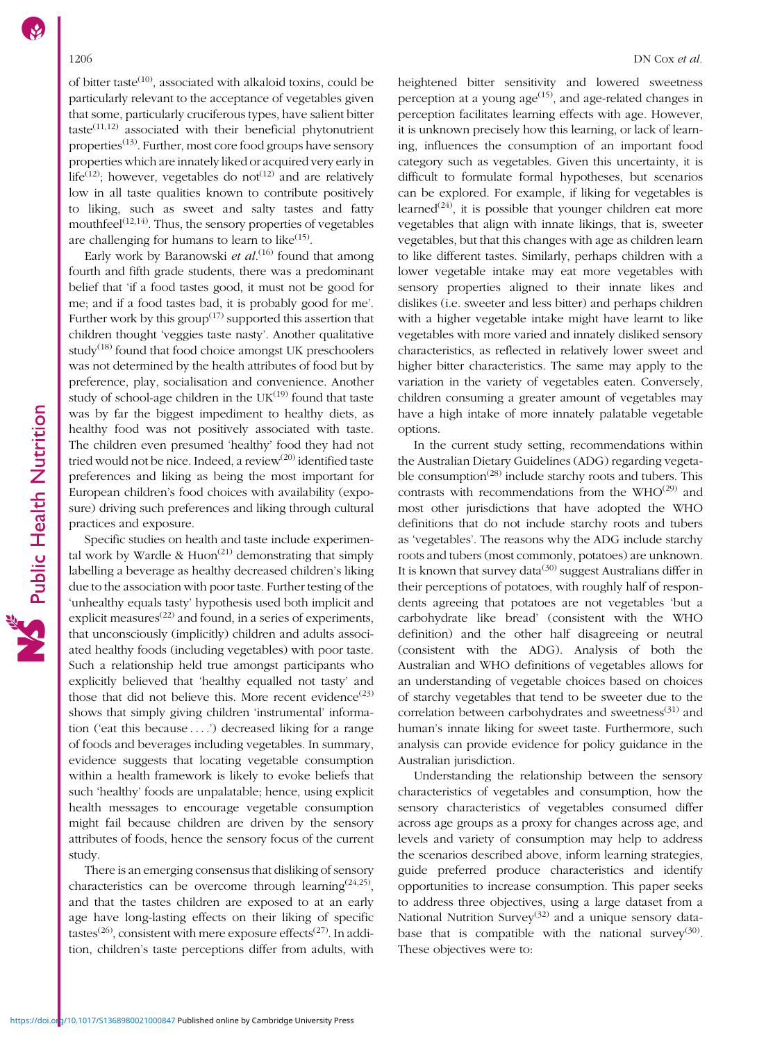of bitter taste<sup>[\(10\)](#page-10-0)</sup>, associated with alkaloid toxins, could be particularly relevant to the acceptance of vegetables given that some, particularly cruciferous types, have salient bitter  $taste^{(11,12)}$  $taste^{(11,12)}$  $taste^{(11,12)}$  associated with their beneficial phytonutrient properties<sup> $(13)$  $(13)$  $(13)$ </sup>. Further, most core food groups have sensory properties which are innately liked or acquired very early in life<sup>[\(12\)](#page-10-0)</sup>; however, vegetables do not<sup>(12)</sup> and are relatively low in all taste qualities known to contribute positively to liking, such as sweet and salty tastes and fatty mouthfeel $(12,14)$  $(12,14)$  $(12,14)$  $(12,14)$  $(12,14)$ . Thus, the sensory properties of vegetables are challenging for humans to learn to like $(15)$  $(15)$ .

Early work by Baranowski *et al*.<sup>[\(16\)](#page-10-0)</sup> found that among fourth and fifth grade students, there was a predominant belief that 'if a food tastes good, it must not be good for me; and if a food tastes bad, it is probably good for me'. Further work by this group<sup> $(17)$  $(17)$  $(17)$ </sup> supported this assertion that children thought 'veggies taste nasty'. Another qualitative study<sup> $(18)$  $(18)$ </sup> found that food choice amongst UK preschoolers was not determined by the health attributes of food but by preference, play, socialisation and convenience. Another study of school-age children in the  $UK^{(19)}$  $UK^{(19)}$  $UK^{(19)}$  found that taste was by far the biggest impediment to healthy diets, as healthy food was not positively associated with taste. The children even presumed 'healthy' food they had not tried would not be nice. Indeed, a review<sup>[\(20\)](#page-10-0)</sup> identified taste preferences and liking as being the most important for European children's food choices with availability (exposure) driving such preferences and liking through cultural practices and exposure.

Specific studies on health and taste include experimental work by Wardle &  $Huon<sup>(21)</sup>$  $Huon<sup>(21)</sup>$  $Huon<sup>(21)</sup>$  demonstrating that simply labelling a beverage as healthy decreased children's liking due to the association with poor taste. Further testing of the 'unhealthy equals tasty' hypothesis used both implicit and explicit measures<sup> $(22)$ </sup> and found, in a series of experiments, that unconsciously (implicitly) children and adults associated healthy foods (including vegetables) with poor taste. Such a relationship held true amongst participants who explicitly believed that 'healthy equalled not tasty' and those that did not believe this. More recent evidence<sup>([23](#page-10-0))</sup> shows that simply giving children 'instrumental' information ('eat this because ....') decreased liking for a range of foods and beverages including vegetables. In summary, evidence suggests that locating vegetable consumption within a health framework is likely to evoke beliefs that such 'healthy' foods are unpalatable; hence, using explicit health messages to encourage vegetable consumption might fail because children are driven by the sensory attributes of foods, hence the sensory focus of the current study.

There is an emerging consensus that disliking of sensory characteristics can be overcome through learning<sup>[\(24,25](#page-10-0))</sup>, and that the tastes children are exposed to at an early age have long-lasting effects on their liking of specific tastes<sup>([26](#page-10-0))</sup>, consistent with mere exposure effects<sup>([27\)](#page-10-0)</sup>. In addition, children's taste perceptions differ from adults, with heightened bitter sensitivity and lowered sweetness perception at a young  $age^{(15)}$  $age^{(15)}$  $age^{(15)}$ , and age-related changes in perception facilitates learning effects with age. However, it is unknown precisely how this learning, or lack of learning, influences the consumption of an important food category such as vegetables. Given this uncertainty, it is difficult to formulate formal hypotheses, but scenarios can be explored. For example, if liking for vegetables is learned<sup>([24](#page-10-0))</sup>, it is possible that younger children eat more vegetables that align with innate likings, that is, sweeter vegetables, but that this changes with age as children learn to like different tastes. Similarly, perhaps children with a lower vegetable intake may eat more vegetables with sensory properties aligned to their innate likes and dislikes (i.e. sweeter and less bitter) and perhaps children with a higher vegetable intake might have learnt to like vegetables with more varied and innately disliked sensory characteristics, as reflected in relatively lower sweet and higher bitter characteristics. The same may apply to the variation in the variety of vegetables eaten. Conversely, children consuming a greater amount of vegetables may have a high intake of more innately palatable vegetable options.

In the current study setting, recommendations within the Australian Dietary Guidelines (ADG) regarding vegetable consumption<sup> $(28)$ </sup> include starchy roots and tubers. This contrasts with recommendations from the  $WHO^{(29)}$  $WHO^{(29)}$  $WHO^{(29)}$  and most other jurisdictions that have adopted the WHO definitions that do not include starchy roots and tubers as 'vegetables'. The reasons why the ADG include starchy roots and tubers (most commonly, potatoes) are unknown. It is known that survey data<sup>[\(30\)](#page-10-0)</sup> suggest Australians differ in their perceptions of potatoes, with roughly half of respondents agreeing that potatoes are not vegetables 'but a carbohydrate like bread' (consistent with the WHO definition) and the other half disagreeing or neutral (consistent with the ADG). Analysis of both the Australian and WHO definitions of vegetables allows for an understanding of vegetable choices based on choices of starchy vegetables that tend to be sweeter due to the correlation between carbohydrates and sweetness<sup>[\(31\)](#page-10-0)</sup> and human's innate liking for sweet taste. Furthermore, such analysis can provide evidence for policy guidance in the Australian jurisdiction.

Understanding the relationship between the sensory characteristics of vegetables and consumption, how the sensory characteristics of vegetables consumed differ across age groups as a proxy for changes across age, and levels and variety of consumption may help to address the scenarios described above, inform learning strategies, guide preferred produce characteristics and identify opportunities to increase consumption. This paper seeks to address three objectives, using a large dataset from a National Nutrition Survey<sup>[\(32](#page-10-0))</sup> and a unique sensory data-base that is compatible with the national survey<sup>[\(30\)](#page-10-0)</sup>. These objectives were to: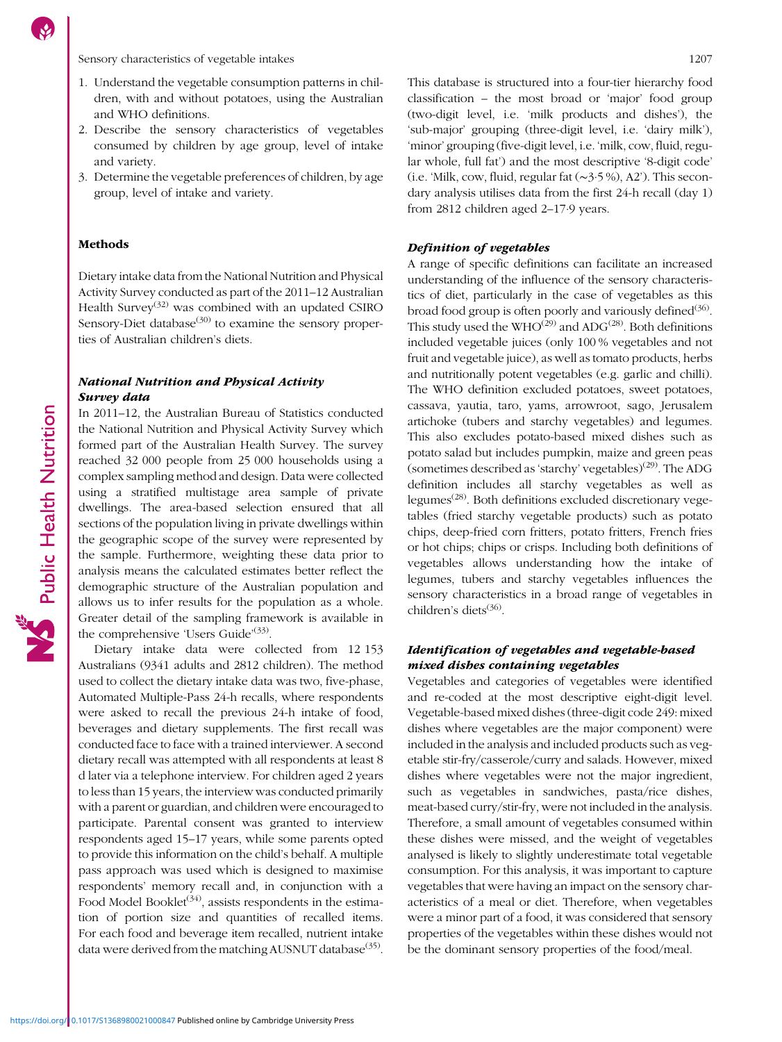Sensory characteristics of vegetable intakes 1207

- 1. Understand the vegetable consumption patterns in children, with and without potatoes, using the Australian and WHO definitions.
- 2. Describe the sensory characteristics of vegetables consumed by children by age group, level of intake and variety.
- 3. Determine the vegetable preferences of children, by age group, level of intake and variety.

### Methods

Dietary intake data from the National Nutrition and Physical Activity Survey conducted as part of the 2011–12 Australian Health Survey<sup>[\(32](#page-10-0))</sup> was combined with an updated CSIRO Sensory-Diet database $(30)$  $(30)$  $(30)$  to examine the sensory properties of Australian children's diets.

### National Nutrition and Physical Activity Survey data

In 2011–12, the Australian Bureau of Statistics conducted the National Nutrition and Physical Activity Survey which formed part of the Australian Health Survey. The survey reached 32 000 people from 25 000 households using a complex sampling method and design. Data were collected using a stratified multistage area sample of private dwellings. The area-based selection ensured that all sections of the population living in private dwellings within the geographic scope of the survey were represented by the sample. Furthermore, weighting these data prior to analysis means the calculated estimates better reflect the demographic structure of the Australian population and allows us to infer results for the population as a whole. Greater detail of the sampling framework is available in the comprehensive 'Users Guide'<sup>([33](#page-10-0))</sup>.

Dietary intake data were collected from 12 153 Australians (9341 adults and 2812 children). The method used to collect the dietary intake data was two, five-phase, Automated Multiple-Pass 24-h recalls, where respondents were asked to recall the previous 24-h intake of food, beverages and dietary supplements. The first recall was conducted face to face with a trained interviewer. A second dietary recall was attempted with all respondents at least 8 d later via a telephone interview. For children aged 2 years to less than 15 years, the interview was conducted primarily with a parent or guardian, and children were encouraged to participate. Parental consent was granted to interview respondents aged 15–17 years, while some parents opted to provide this information on the child's behalf. A multiple pass approach was used which is designed to maximise respondents' memory recall and, in conjunction with a Food Model Booklet<sup> $(34)$  $(34)$  $(34)$ </sup>, assists respondents in the estimation of portion size and quantities of recalled items. For each food and beverage item recalled, nutrient intake data were derived from the matching AUSNUT database<sup>([35](#page-10-0))</sup>. This database is structured into a four-tier hierarchy food classification – the most broad or 'major' food group (two-digit level, i.e. 'milk products and dishes'), the 'sub-major' grouping (three-digit level, i.e. 'dairy milk'), 'minor' grouping (five-digit level, i.e. 'milk, cow, fluid, regular whole, full fat') and the most descriptive '8-digit code' (i.e. 'Milk, cow, fluid, regular fat (∼3·5 %), A2'). This secondary analysis utilises data from the first 24-h recall (day 1) from 2812 children aged 2–17·9 years.

#### Definition of vegetables

A range of specific definitions can facilitate an increased understanding of the influence of the sensory characteristics of diet, particularly in the case of vegetables as this broad food group is often poorly and variously defined $(36)$  $(36)$ . This study used the WHO<sup>([29\)](#page-10-0)</sup> and ADG<sup>([28](#page-10-0))</sup>. Both definitions included vegetable juices (only 100 % vegetables and not fruit and vegetable juice), as well as tomato products, herbs and nutritionally potent vegetables (e.g. garlic and chilli). The WHO definition excluded potatoes, sweet potatoes, cassava, yautia, taro, yams, arrowroot, sago, Jerusalem artichoke (tubers and starchy vegetables) and legumes. This also excludes potato-based mixed dishes such as potato salad but includes pumpkin, maize and green peas (sometimes described as 'starchy' vegetables)<sup>[\(29\)](#page-10-0)</sup>. The ADG definition includes all starchy vegetables as well as legumes<sup> $(28)$  $(28)$ </sup>. Both definitions excluded discretionary vegetables (fried starchy vegetable products) such as potato chips, deep-fried corn fritters, potato fritters, French fries or hot chips; chips or crisps. Including both definitions of vegetables allows understanding how the intake of legumes, tubers and starchy vegetables influences the sensory characteristics in a broad range of vegetables in children's diets $(36)$ .

# Identification of vegetables and vegetable-based mixed dishes containing vegetables

Vegetables and categories of vegetables were identified and re-coded at the most descriptive eight-digit level. Vegetable-based mixed dishes (three-digit code 249: mixed dishes where vegetables are the major component) were included in the analysis and included products such as vegetable stir-fry/casserole/curry and salads. However, mixed dishes where vegetables were not the major ingredient, such as vegetables in sandwiches, pasta/rice dishes, meat-based curry/stir-fry, were not included in the analysis. Therefore, a small amount of vegetables consumed within these dishes were missed, and the weight of vegetables analysed is likely to slightly underestimate total vegetable consumption. For this analysis, it was important to capture vegetables that were having an impact on the sensory characteristics of a meal or diet. Therefore, when vegetables were a minor part of a food, it was considered that sensory properties of the vegetables within these dishes would not be the dominant sensory properties of the food/meal.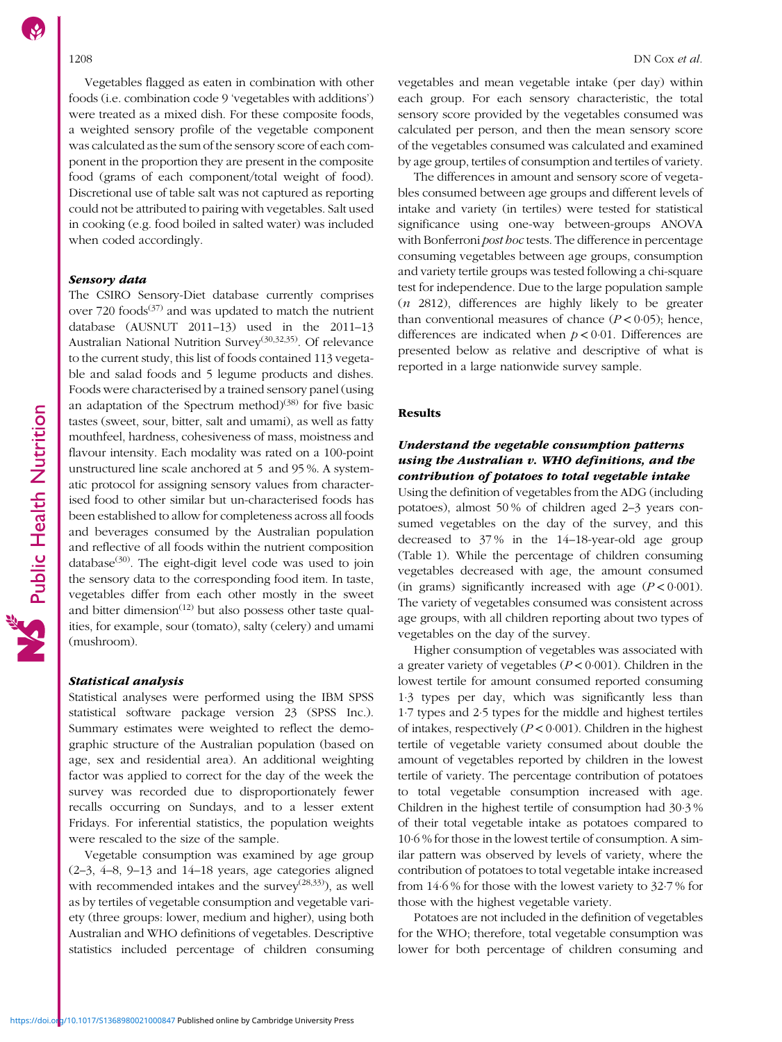Vegetables flagged as eaten in combination with other foods (i.e. combination code 9 'vegetables with additions') were treated as a mixed dish. For these composite foods, a weighted sensory profile of the vegetable component was calculated as the sum of the sensory score of each component in the proportion they are present in the composite food (grams of each component/total weight of food). Discretional use of table salt was not captured as reporting could not be attributed to pairing with vegetables. Salt used in cooking (e.g. food boiled in salted water) was included when coded accordingly.

### Sensory data

The CSIRO Sensory-Diet database currently comprises over 720 foods<sup>[\(37\)](#page-11-0)</sup> and was updated to match the nutrient database (AUSNUT 2011–13) used in the 2011–13 Australian National Nutrition Survey[\(30,32](#page-10-0),[35](#page-10-0)). Of relevance to the current study, this list of foods contained 113 vegetable and salad foods and 5 legume products and dishes. Foods were characterised by a trained sensory panel (using an adaptation of the Spectrum method) $(38)$  $(38)$  for five basic tastes (sweet, sour, bitter, salt and umami), as well as fatty mouthfeel, hardness, cohesiveness of mass, moistness and flavour intensity. Each modality was rated on a 100-point unstructured line scale anchored at 5 and 95 %. A systematic protocol for assigning sensory values from characterised food to other similar but un-characterised foods has been established to allow for completeness across all foods and beverages consumed by the Australian population and reflective of all foods within the nutrient composition database $(30)$ . The eight-digit level code was used to join the sensory data to the corresponding food item. In taste, vegetables differ from each other mostly in the sweet and bitter dimension $(12)$  $(12)$  $(12)$  but also possess other taste qualities, for example, sour (tomato), salty (celery) and umami (mushroom).

#### Statistical analysis

Statistical analyses were performed using the IBM SPSS statistical software package version 23 (SPSS Inc.). Summary estimates were weighted to reflect the demographic structure of the Australian population (based on age, sex and residential area). An additional weighting factor was applied to correct for the day of the week the survey was recorded due to disproportionately fewer recalls occurring on Sundays, and to a lesser extent Fridays. For inferential statistics, the population weights were rescaled to the size of the sample.

Vegetable consumption was examined by age group (2–3, 4–8, 9–13 and 14–18 years, age categories aligned with recommended intakes and the survey<sup> $(28,33)$  $(28,33)$ </sup>), as well as by tertiles of vegetable consumption and vegetable variety (three groups: lower, medium and higher), using both Australian and WHO definitions of vegetables. Descriptive statistics included percentage of children consuming vegetables and mean vegetable intake (per day) within each group. For each sensory characteristic, the total sensory score provided by the vegetables consumed was calculated per person, and then the mean sensory score of the vegetables consumed was calculated and examined by age group, tertiles of consumption and tertiles of variety.

The differences in amount and sensory score of vegetables consumed between age groups and different levels of intake and variety (in tertiles) were tested for statistical significance using one-way between-groups ANOVA with Bonferroni post hoc tests. The difference in percentage consuming vegetables between age groups, consumption and variety tertile groups was tested following a chi-square test for independence. Due to the large population sample (n 2812), differences are highly likely to be greater than conventional measures of chance  $(P < 0.05)$ ; hence, differences are indicated when  $p < 0.01$ . Differences are presented below as relative and descriptive of what is reported in a large nationwide survey sample.

### Results

# Understand the vegetable consumption patterns using the Australian v. WHO definitions, and the contribution of potatoes to total vegetable intake

Using the definition of vegetables from the ADG (including potatoes), almost 50 % of children aged 2–3 years consumed vegetables on the day of the survey, and this decreased to 37 % in the 14–18-year-old age group (Table [1\)](#page-4-0). While the percentage of children consuming vegetables decreased with age, the amount consumed (in grams) significantly increased with age  $(P < 0.001)$ . The variety of vegetables consumed was consistent across age groups, with all children reporting about two types of vegetables on the day of the survey.

Higher consumption of vegetables was associated with a greater variety of vegetables ( $P < 0.001$ ). Children in the lowest tertile for amount consumed reported consuming 1·3 types per day, which was significantly less than 1·7 types and 2·5 types for the middle and highest tertiles of intakes, respectively ( $P < 0.001$ ). Children in the highest tertile of vegetable variety consumed about double the amount of vegetables reported by children in the lowest tertile of variety. The percentage contribution of potatoes to total vegetable consumption increased with age. Children in the highest tertile of consumption had 30·3 % of their total vegetable intake as potatoes compared to 10·6 % for those in the lowest tertile of consumption. A similar pattern was observed by levels of variety, where the contribution of potatoes to total vegetable intake increased from 14·6 % for those with the lowest variety to 32·7 % for those with the highest vegetable variety.

Potatoes are not included in the definition of vegetables for the WHO; therefore, total vegetable consumption was lower for both percentage of children consuming and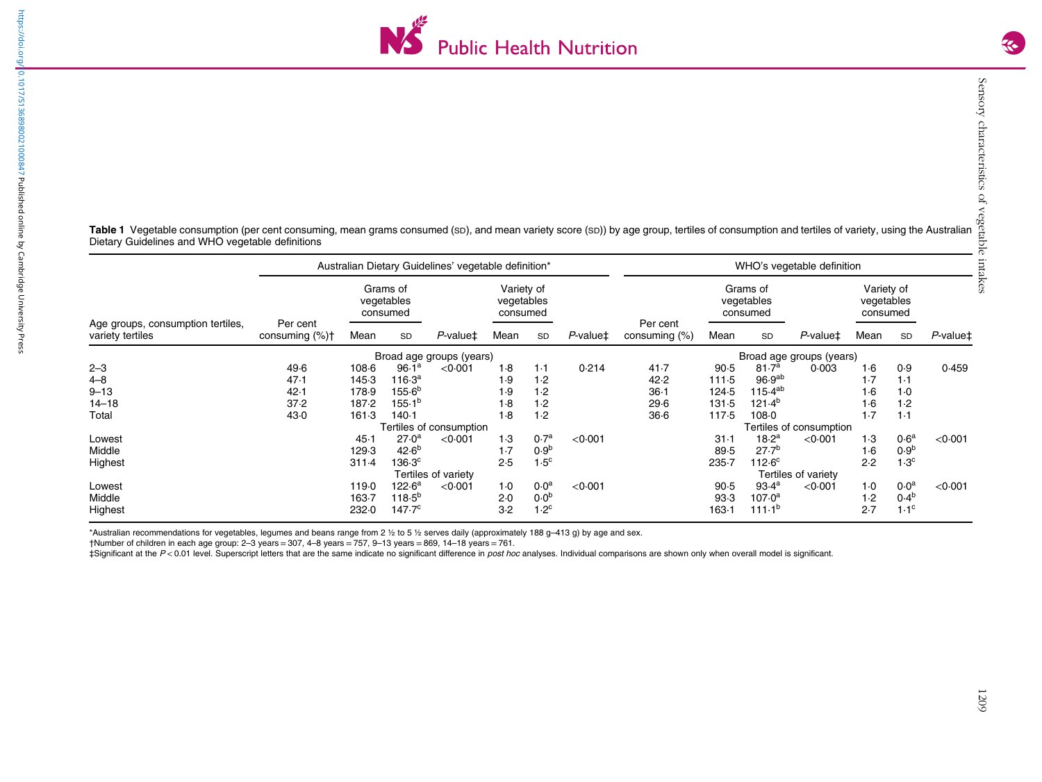

<span id="page-4-0"></span>Table 1 Vegetable consumption (per cent consuming, mean grams consumed (sp), and mean variety score (sp)) by age group, tertiles of consumption and tertiles of variety, using the Australian Dietary Guidelines and WHO vegetable definitions

|                                                       |                            |           |                                    | Australian Dietary Guidelines' vegetable definition* |                                      |                  | WHO's vegetable definition |                              |        |                                    |                         |                                      |                  |                       |  |  |  |
|-------------------------------------------------------|----------------------------|-----------|------------------------------------|------------------------------------------------------|--------------------------------------|------------------|----------------------------|------------------------------|--------|------------------------------------|-------------------------|--------------------------------------|------------------|-----------------------|--|--|--|
|                                                       |                            |           | Grams of<br>vegetables<br>consumed |                                                      | Variety of<br>vegetables<br>consumed |                  |                            | Per cent<br>consuming $(\%)$ |        | Grams of<br>vegetables<br>consumed |                         | Variety of<br>vegetables<br>consumed |                  |                       |  |  |  |
| Age groups, consumption tertiles,<br>variety tertiles | Per cent<br>consuming (%)+ | Mean      | SD                                 | $P$ -value $\ddagger$                                | Mean                                 | SD               | $P$ -value $\ddagger$      |                              | Mean   | SD                                 | $P$ -value $\ddagger$   | Mean                                 | SD               | $P$ -value $\ddagger$ |  |  |  |
|                                                       |                            |           |                                    | Broad age groups (years)                             |                                      |                  |                            |                              |        | Broad age groups (years)           |                         |                                      |                  |                       |  |  |  |
| $2 - 3$                                               | 49.6                       | $108 - 6$ | 96.1 <sup>a</sup>                  | < 0.001                                              | 1.8                                  | $1-1$            | 0.214                      | 41.7                         | 90.5   | 81.7 <sup>a</sup>                  | 0.003                   | 1·6                                  | 0.9              | 0.459                 |  |  |  |
| $4 - 8$                                               | 47.1                       | 145.3     | 116 $\cdot$ 3ª                     |                                                      | 1.9                                  | 1.2              |                            | 42.2                         | 111.5  | 96.9 <sup>ab</sup>                 |                         | 1.7                                  | 1·1              |                       |  |  |  |
| $9 - 13$                                              | 42.1                       | 178.9     | 155.6 <sup>b</sup>                 |                                                      | 1.9                                  | 1.2              |                            | $36-1$                       | 124.5  | $115.4^{ab}$                       |                         | $1-6$                                | $1-0$            |                       |  |  |  |
| $14 - 18$                                             | 37.2                       | 187.2     | 155.1 <sup>b</sup>                 |                                                      | 1.8                                  | 1.2              |                            | 29.6                         | 131.5  | 121.4 <sup>b</sup>                 |                         | 1.6                                  | 1.2              |                       |  |  |  |
| Total                                                 | 43.0                       | 161.3     | $140-1$                            |                                                      | 1.8                                  | 1.2              |                            | $36-6$                       | 117.5  | 108.0                              |                         | 1.7                                  | 1·1              |                       |  |  |  |
|                                                       |                            |           |                                    | Tertiles of consumption                              |                                      |                  |                            |                              |        |                                    | Tertiles of consumption |                                      |                  |                       |  |  |  |
| Lowest                                                |                            | 45.1      | 27.0 <sup>a</sup>                  | < 0.001                                              | 1.3                                  | 0.7 <sup>a</sup> | < 0.001                    |                              | $31-1$ | 18.2 <sup>a</sup>                  | < 0.001                 | $1-3$                                | 0.6 <sup>a</sup> | < 0.001               |  |  |  |
| Middle                                                |                            | 129.3     | $42.6^{b}$                         |                                                      | 1.7                                  | 0.9 <sup>b</sup> |                            |                              | 89.5   | 27.7 <sup>b</sup>                  |                         | 1·6                                  | 0.9 <sup>b</sup> |                       |  |  |  |
| Highest                                               |                            | $311-4$   | $136.3^{\circ}$                    |                                                      | 2.5                                  | 1.5 <sup>c</sup> |                            |                              | 235.7  | $112.6^{\circ}$                    |                         | 2.2                                  | 1.3 <sup>c</sup> |                       |  |  |  |
|                                                       |                            |           |                                    | Tertiles of variety                                  |                                      |                  |                            |                              |        |                                    | Tertiles of variety     |                                      |                  |                       |  |  |  |
| Lowest                                                |                            | 119.0     | 122.6 <sup>a</sup>                 | < 0.001                                              | $1-0$                                | 0.0 <sup>a</sup> | < 0.001                    |                              | 90.5   | 93.4 <sup>a</sup>                  | < 0.001                 | $1-0$                                | 0.0 <sup>a</sup> | < 0.001               |  |  |  |
| Middle                                                |                            | 163.7     | $118.5^{b}$                        |                                                      | 2.0                                  | 0.0 <sup>b</sup> |                            |                              | 93.3   | 107.0 <sup>a</sup>                 |                         | 1.2                                  | 0.4 <sup>b</sup> |                       |  |  |  |
| Highest                                               |                            | 232.0     | 147 $\cdot$ 7 $^{\circ}$           |                                                      | 3.2                                  | 1.2 <sup>c</sup> |                            |                              | 163.1  | $111 \cdot 1^{b}$                  |                         | 2.7                                  | 1.1 <sup>c</sup> |                       |  |  |  |

\*Australian recommendations for vegetables, legumes and beans range from 2 ½ to 5 ½ serves daily (approximately 188 g–413 g) by age and sex.

†Number of children in each age group: 2–3 years <sup>=</sup> 307, 4–8 years <sup>=</sup> 757, 9–13 years <sup>=</sup> 869, 14–18 years <sup>=</sup> 761.

‡Significant at the P <sup>&</sup>lt; 0.01 level. Superscript letters that are the same indicate no significant difference in post hoc analyses. Individual comparisons are shown only when overall model is significant.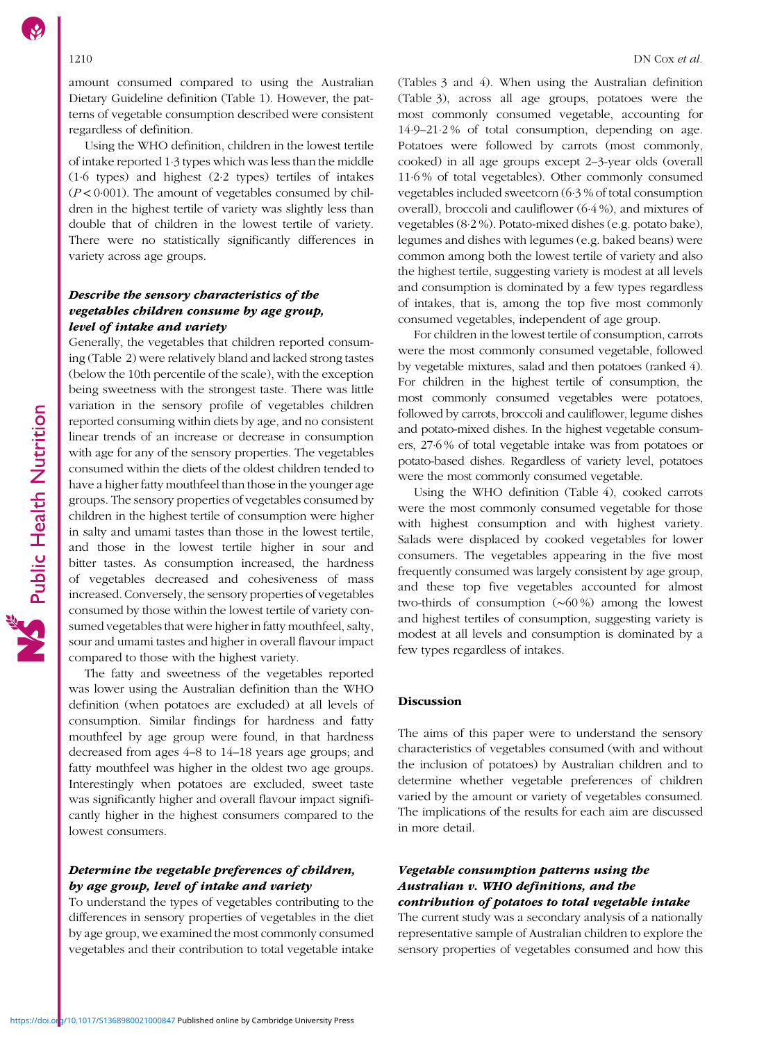amount consumed compared to using the Australian Dietary Guideline definition (Table [1](#page-4-0)). However, the patterns of vegetable consumption described were consistent regardless of definition.

Using the WHO definition, children in the lowest tertile of intake reported 1·3 types which was less than the middle (1·6 types) and highest (2·2 types) tertiles of intakes  $(P < 0.001)$ . The amount of vegetables consumed by children in the highest tertile of variety was slightly less than double that of children in the lowest tertile of variety. There were no statistically significantly differences in variety across age groups.

# Describe the sensory characteristics of the vegetables children consume by age group, level of intake and variety

Generally, the vegetables that children reported consuming (Table [2\)](#page-6-0) were relatively bland and lacked strong tastes (below the 10th percentile of the scale), with the exception being sweetness with the strongest taste. There was little variation in the sensory profile of vegetables children reported consuming within diets by age, and no consistent linear trends of an increase or decrease in consumption with age for any of the sensory properties. The vegetables consumed within the diets of the oldest children tended to have a higher fatty mouthfeel than those in the younger age groups. The sensory properties of vegetables consumed by children in the highest tertile of consumption were higher in salty and umami tastes than those in the lowest tertile, and those in the lowest tertile higher in sour and bitter tastes. As consumption increased, the hardness of vegetables decreased and cohesiveness of mass increased. Conversely, the sensory properties of vegetables consumed by those within the lowest tertile of variety consumed vegetables that were higher in fatty mouthfeel, salty, sour and umami tastes and higher in overall flavour impact compared to those with the highest variety.

The fatty and sweetness of the vegetables reported was lower using the Australian definition than the WHO definition (when potatoes are excluded) at all levels of consumption. Similar findings for hardness and fatty mouthfeel by age group were found, in that hardness decreased from ages 4–8 to 14–18 years age groups; and fatty mouthfeel was higher in the oldest two age groups. Interestingly when potatoes are excluded, sweet taste was significantly higher and overall flavour impact significantly higher in the highest consumers compared to the lowest consumers.

# Determine the vegetable preferences of children, by age group, level of intake and variety

To understand the types of vegetables contributing to the differences in sensory properties of vegetables in the diet by age group, we examined the most commonly consumed vegetables and their contribution to total vegetable intake (Tables [3](#page-7-0) and [4\)](#page-7-0). When using the Australian definition (Table [3\)](#page-7-0), across all age groups, potatoes were the most commonly consumed vegetable, accounting for 14·9–21·2 % of total consumption, depending on age. Potatoes were followed by carrots (most commonly, cooked) in all age groups except 2–3-year olds (overall 11·6 % of total vegetables). Other commonly consumed vegetables included sweetcorn (6·3 % of total consumption overall), broccoli and cauliflower (6·4 %), and mixtures of vegetables (8·2 %). Potato-mixed dishes (e.g. potato bake), legumes and dishes with legumes (e.g. baked beans) were common among both the lowest tertile of variety and also the highest tertile, suggesting variety is modest at all levels and consumption is dominated by a few types regardless of intakes, that is, among the top five most commonly consumed vegetables, independent of age group.

For children in the lowest tertile of consumption, carrots were the most commonly consumed vegetable, followed by vegetable mixtures, salad and then potatoes (ranked 4). For children in the highest tertile of consumption, the most commonly consumed vegetables were potatoes, followed by carrots, broccoli and cauliflower, legume dishes and potato-mixed dishes. In the highest vegetable consumers, 27·6 % of total vegetable intake was from potatoes or potato-based dishes. Regardless of variety level, potatoes were the most commonly consumed vegetable.

Using the WHO definition (Table [4\)](#page-7-0), cooked carrots were the most commonly consumed vegetable for those with highest consumption and with highest variety. Salads were displaced by cooked vegetables for lower consumers. The vegetables appearing in the five most frequently consumed was largely consistent by age group, and these top five vegetables accounted for almost two-thirds of consumption (∼60 %) among the lowest and highest tertiles of consumption, suggesting variety is modest at all levels and consumption is dominated by a few types regardless of intakes.

#### Discussion

The aims of this paper were to understand the sensory characteristics of vegetables consumed (with and without the inclusion of potatoes) by Australian children and to determine whether vegetable preferences of children varied by the amount or variety of vegetables consumed. The implications of the results for each aim are discussed in more detail.

# Vegetable consumption patterns using the Australian v. WHO definitions, and the contribution of potatoes to total vegetable intake

The current study was a secondary analysis of a nationally representative sample of Australian children to explore the sensory properties of vegetables consumed and how this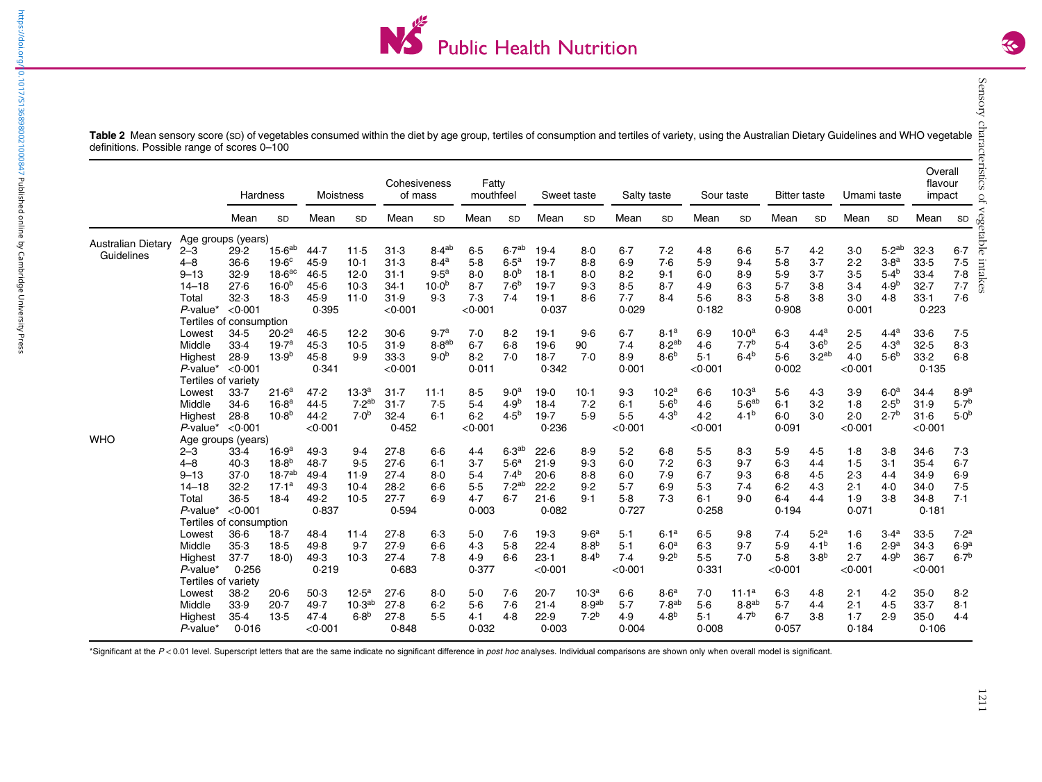

<span id="page-6-0"></span>

|                           |                         | Hardness |                    | <b>Moistness</b> |                    | Cohesiveness<br>of mass |                   | Fatty<br>mouthfeel |                   | Sweet taste       |                   | Salty taste |                   | Sour taste |                   | <b>Bitter taste</b> |                   | Umami taste |                   | Overall<br>flavour<br>impact |                  |
|---------------------------|-------------------------|----------|--------------------|------------------|--------------------|-------------------------|-------------------|--------------------|-------------------|-------------------|-------------------|-------------|-------------------|------------|-------------------|---------------------|-------------------|-------------|-------------------|------------------------------|------------------|
|                           |                         | Mean     | <b>SD</b>          | Mean             | <b>SD</b>          | Mean                    | SD                | Mean               | SD                | Mean              | SD                | Mean        | SD                | Mean       | SD                | Mean                | SD                | Mean        | SD                | Mean                         | SD               |
| <b>Australian Dietary</b> | Age groups (years)      |          |                    |                  |                    |                         |                   |                    |                   |                   |                   |             |                   |            |                   |                     |                   |             |                   |                              |                  |
| Guidelines                | $2 - 3$                 | 29.2     | 15.6 <sup>ab</sup> | 44.7             | 11.5               | 31.3                    | 8.4 <sup>ab</sup> | 6.5                | 6.7 <sup>ab</sup> | 19.4              | $8-0$             | $6 - 7$     | 7.2               | 4.8        | $6-6$             | 5.7                 | 4.2               | $3-0$       | 5.2 <sup>ab</sup> | 32.3                         | $6 - 7$          |
|                           | $4 - 8$                 | 36.6     | 19.6 <sup>c</sup>  | 45.9             | $10-1$             | 31.3                    | 8.4 <sup>a</sup>  | $5-8$              | 6.5 <sup>a</sup>  | 19.7              | 8.8               | 6.9         | 7.6               | 5.9        | 9.4               | 5.8                 | 3.7               | 2.2         | 3.8 <sup>a</sup>  | 33.5                         | 7.5              |
|                           | $9 - 13$                | 32.9     | 18.6 <sup>ac</sup> | 46.5             | 12.0               | $31 - 1$                | 9.5 <sup>a</sup>  | 8.0                | 8.0 <sup>b</sup>  | 18.1              | $8-0$             | 8.2         | $9-1$             | 6.0        | 8.9               | 5.9                 | $3-7$             | 3.5         | $5.4^{b}$         | 33.4                         | 7.8              |
|                           | $14 - 18$               | 27.6     | $16.0^{b}$         | 45.6             | $10-3$             | $34-1$                  | 10.0 <sup>b</sup> | $8-7$              | 7.6 <sup>b</sup>  | 19.7              | 9.3               | 8.5         | 8.7               | 4.9        | $6-3$             | 5.7                 | $3-8$             | $3-4$       | 4.9 <sup>b</sup>  | 32.7                         | 7.7              |
|                           | Total                   | 32.3     | 18.3               | 45.9             | 11.0               | 31.9                    | 9.3               | 7.3                | 7.4               | 19.1              | $8-6$             | 7.7         | 8.4               | $5-6$      | 8.3               | $5-8$               | $3-8$             | 3.0         | 4.8               | 33.1                         | 7.6              |
|                           | $P$ -value*             | < 0.001  |                    | 0.395            |                    | < 0.001                 |                   | < 0.001            |                   | 0.037             |                   | 0.029       |                   | 0.182      |                   | 0.908               |                   | 0.001       |                   | 0.223                        |                  |
|                           | Tertiles of consumption |          |                    |                  |                    |                         |                   |                    |                   |                   |                   |             |                   |            |                   |                     |                   |             |                   |                              |                  |
|                           | Lowest                  | 34.5     | 20.2 <sup>a</sup>  | 46.5             | 12.2               | $30-6$                  | 9.7 <sup>a</sup>  | 7.0                | 8.2               | 19.1              | 9.6               | $6 - 7$     | 8.1 <sup>a</sup>  | 6.9        | 10.0 <sup>a</sup> | $6-3$               | 4.4 <sup>a</sup>  | 2.5         | 4.4 <sup>a</sup>  | 33.6                         | 7.5              |
|                           | Middle                  | 33.4     | 19.7 <sup>a</sup>  | 45.3             | $10-5$             | 31.9                    | 8.8 <sup>ab</sup> | $6 - 7$            | $6 - 8$           | 19.6              | 90                | 7.4         | 8.2 <sup>ab</sup> | 4.6        | 7.7 <sup>b</sup>  | 5.4                 | 3.6 <sup>b</sup>  | 2.5         | 4.3 <sup>a</sup>  | 32.5                         | 8.3              |
|                           | Highest                 | 28.9     | 13.9 <sup>b</sup>  | 45.8             | 9.9                | 33.3                    | 9.0 <sup>b</sup>  | 8.2                | 7.0               | 18.7              | 7.0               | 8.9         | 8.6 <sup>b</sup>  | $5-1$      | $6.4^{b}$         | $5-6$               | 3.2 <sup>ab</sup> | 4.0         | 5.6 <sup>b</sup>  | 33.2                         | 6.8              |
|                           | $P$ -value*             | < 0.001  |                    | 0.341            |                    | < 0.001                 |                   | 0.011              |                   | 0.342             |                   | 0.001       |                   | < 0.001    |                   | 0.002               |                   | < 0.001     |                   | 0.135                        |                  |
|                           | Tertiles of variety     |          |                    |                  |                    |                         |                   |                    |                   |                   |                   |             |                   |            |                   |                     |                   |             |                   |                              |                  |
|                           | Lowest                  | $33 - 7$ | 21.6 <sup>a</sup>  | 47.2             | 13.3 <sup>a</sup>  | $31 - 7$                | $11-1$            | $8-5$              | 9.0 <sup>a</sup>  | 19.0              | $10-1$            | 9.3         | 10.2 <sup>a</sup> | $6-6$      | 10.3 <sup>a</sup> | $5-6$               | 4.3               | 3.9         | 6.0 <sup>a</sup>  | 34.4                         | 8.9 <sup>a</sup> |
|                           | Middle                  | 34.6     | 16.8 <sup>a</sup>  | 44.5             | 7.2 <sup>ab</sup>  | 31.7                    | 7.5               | $5-4$              | 4.9 <sup>b</sup>  | 18.4              | 7.2               | $6 - 1$     | 5.6 <sup>b</sup>  | 4.6        | 5.6 <sup>ab</sup> | $6 - 1$             | 3.2               | 1.8         | 2.5 <sup>b</sup>  | 31.9                         | $5.7^{b}$        |
|                           | Highest                 | 28.8     | 10.8 <sup>b</sup>  | 44.2             | 7.0 <sup>b</sup>   | 32.4                    | $6 - 1$           | $6 - 2$            | $4.5^{b}$         | 19.7              | 5.9               | 5.5         | 4.3 <sup>b</sup>  | 4.2        | $4.1^{b}$         | $6-0$               | $3-0$             | 2.0         | $2.7^{b}$         | $31-6$                       | 5.0 <sup>b</sup> |
|                           | $P$ -value*             | < 0.001  |                    | < 0.001          |                    | 0.452                   |                   | < 0.001            |                   | 0.236             |                   | < 0.001     |                   | < 0.001    |                   | 0.091               |                   | < 0.001     |                   | < 0.001                      |                  |
| WHO                       | Age groups (years)      |          |                    |                  |                    |                         |                   |                    |                   |                   |                   |             |                   |            |                   |                     |                   |             |                   |                              |                  |
|                           | $2 - 3$                 | 33.4     | 16.9 <sup>a</sup>  | 49.3             | 9.4                | 27.8                    | $6-6$             | 4.4                | 6.3 <sup>ab</sup> | 22.6              | 8.9               | 5.2         | $6 - 8$           | 5.5        | 8.3               | 5.9                 | 4.5               | 1.8         | $3-8$             | 34.6                         | 7.3              |
|                           | $4 - 8$                 | 40.3     | $18.8^{b}$         | 48.7             | 9.5                | 27.6                    | $6 - 1$           | $3-7$              | 5.6 <sup>a</sup>  | 21.9              | 9.3               | 6.0         | 7.2               | $6-3$      | 9.7               | $6-3$               | 4.4               | 1.5         | $3-1$             | 35.4                         | $6 - 7$          |
|                           | $9 - 13$                | 37.0     | 18.7 <sup>ab</sup> | 49.4             | 11.9               | 27.4                    | 8.0               | 5.4                | 7.4 <sup>b</sup>  | 20.6              | 8.8               | 6.0         | 7.9               | $6-7$      | 9.3               | $6 - 8$             | 4.5               | 2.3         | 4.4               | 34.9                         | 6.9              |
|                           | $14 - 18$               | 32.2     | 17.1 <sup>a</sup>  | 49.3             | $10-4$             | 28.2                    | $6-6$             | 5.5                | 7.2 <sup>ab</sup> | 22.2              | 9.2               | 5.7         | 6.9               | 5.3        | 7.4               | 6.2                 | 4.3               | 2.1         | 4.0               | 34.0                         | 7.5              |
|                           | Total                   | 36.5     | 18.4               | 49.2             | $10-5$             | 27.7                    | 6.9               | 4.7                | $6-7$             | 21.6              | 9.1               | $5-8$       | 7.3               | 6.1        | 9.0               | $6-4$               | 4.4               | 1.9         | $3-8$             | 34.8                         | 7.1              |
|                           | $P$ -value*             | < 0.001  |                    | 0.837            |                    | 0.594                   |                   | 0.003              |                   | 0.082             |                   | 0.727       |                   | 0.258      |                   | 0.194               |                   | 0.071       |                   | 0.181                        |                  |
|                           | Tertiles of consumption |          |                    |                  |                    |                         |                   |                    |                   |                   |                   |             |                   |            |                   |                     |                   |             |                   |                              |                  |
|                           | Lowest                  | 36.6     | $18-7$             | 48.4             | 11.4               | 27.8                    | $6-3$             | 5.0                | 7.6               | 19.3              | 9.6 <sup>a</sup>  | $5-1$       | 6.1 <sup>a</sup>  | $6-5$      | 9.8               | 7.4                 | 5.2 <sup>a</sup>  | 1·6         | 3.4 <sup>a</sup>  | 33.5                         | 7.2 <sup>a</sup> |
|                           | Middle                  | 35.3     | $18-5$             | 49.8             | 9.7                | 27.9                    | $6-6$             | 4.3                | 5.8               | 22.4              | 8.8 <sup>b</sup>  | 5.1         | 6.0 <sup>a</sup>  | $6-3$      | 9.7               | 5.9                 | $4.1^{b}$         | 1.6         | 2.9 <sup>a</sup>  | 34.3                         | 6.9 <sup>a</sup> |
|                           | Highest                 | 37.7     | $18-0)$            | 49.3             | 10.3               | 27.4                    | 7.8               | 4.9                | $6-6$             | 23.1              | 8.4 <sup>b</sup>  | 7.4         | 9.2 <sup>b</sup>  | 5.5        | 7.0               | 5.8                 | 3.8 <sup>b</sup>  | 2.7         | 4.9 <sup>b</sup>  | $36 - 7$                     | 6.7 <sup>b</sup> |
|                           | $P$ -value <sup>*</sup> | 0.256    |                    | 0.219            |                    | 0.683                   |                   | 0.377              |                   | $<$ 0 $\cdot$ 001 |                   | < 0.001     |                   | 0.331      |                   | < 0.001             |                   | < 0.001     |                   | <0∙001                       |                  |
|                           | Tertiles of variety     |          |                    |                  |                    |                         |                   |                    |                   |                   |                   |             |                   |            |                   |                     |                   |             |                   |                              |                  |
|                           | Lowest                  | 38.2     | $20-6$             | $50-3$           | $12.5^a$           | 27.6                    | 8.0               | 5.0                | 7.6               | 20.7              | 10.3 <sup>a</sup> | $6-6$       | 8.6 <sup>a</sup>  | 7.0        | 11.1 <sup>a</sup> | $6-3$               | 4.8               | 2.1         | 4.2               | 35.0                         | 8.2              |
|                           | Middle                  | 33.9     | 20.7               | 49.7             | 10.3 <sup>ab</sup> | 27.8                    | 6.2               | $5-6$              | 7.6               | 21.4              | 8.9 <sup>ab</sup> | $5-7$       | 7.8 <sup>ab</sup> | 5.6        | 8.8 <sup>ab</sup> | 5.7                 | 4.4               | 2.1         | 4.5               | 33.7                         | 8.1              |
|                           | Highest                 | 35.4     | 13.5               | 47.4             | 6.8 <sup>b</sup>   | 27.8                    | 5.5               | 4.1                | 4.8               | 22.9              | 7.2 <sup>b</sup>  | 4.9         | 4.8 <sup>b</sup>  | $5-1$      | 4.7 <sup>b</sup>  | 6.7                 | $3-8$             | $1-7$       | 2.9               | $35-0$                       | 4.4              |
|                           | $P$ -value              | 0.016    |                    | < 0.001          |                    | 0.848                   |                   | 0.032              |                   | 0.003             |                   | 0.004       |                   | 0.008      |                   | 0.057               |                   | 0.184       |                   | 0.106                        |                  |

\*Significant at the P < 0.01 level. Superscript letters that are the same indicate no significant difference in post hoc analyses. Individual comparisons are shown only when overall model is significant.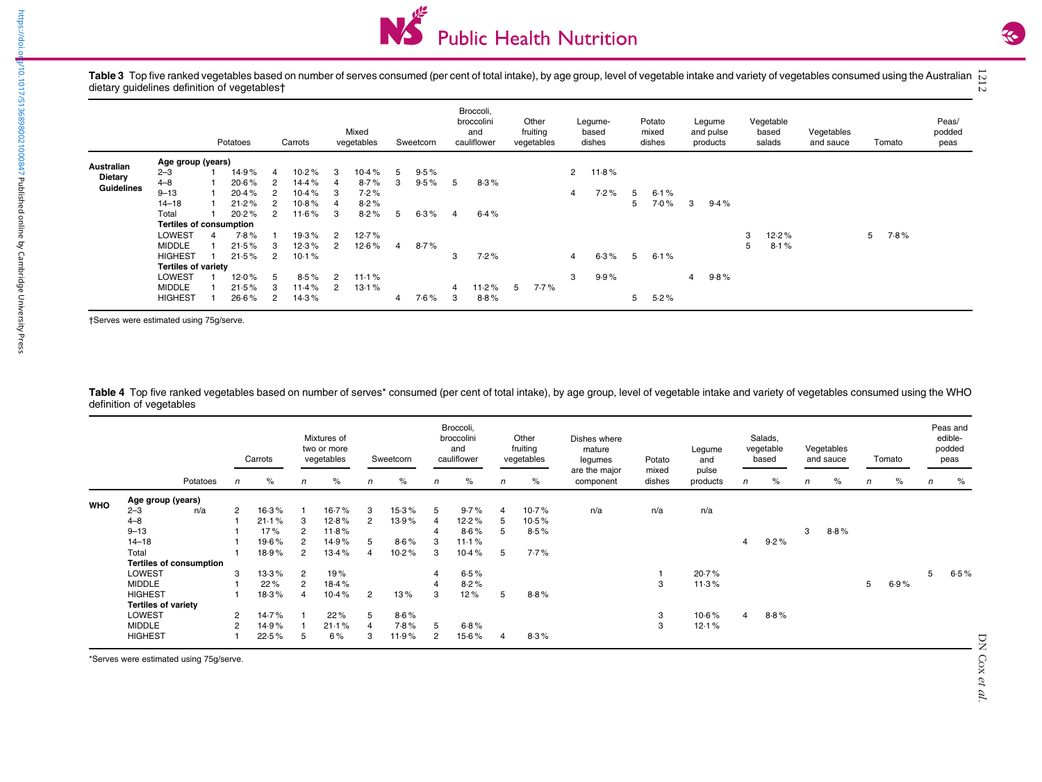

Table 3 Top five ranked vegetables based on number of serves consumed (per cent of total intake), by age group, level of vegetable intake and variety of vegetables consumed using the Australian Table 3 Top five ranked vegetables based on number of serves consumed (per cent of total intake), by age group, level of vegetable intake and variety of vegetables consumed using the Australian  $\mathop{\sim}\limits_{\sim}^{\infty}$ 

|                                     | Potatoes                       |  |       | Carrots |                |                | Mixed<br>vegetables | Sweetcorn |         | Broccoli,<br>broccolini<br>and<br>cauliflower |       | Other<br>fruiting<br>vegetables | Legume-<br>based<br>dishes |       | Potato<br>mixed<br>dishes |      | Legume<br>and pulse<br>products |      | Vegetable<br>based<br>salads |       | Vegetables<br>and sauce | Tomato |      | Peas/<br>podded<br>peas |
|-------------------------------------|--------------------------------|--|-------|---------|----------------|----------------|---------------------|-----------|---------|-----------------------------------------------|-------|---------------------------------|----------------------------|-------|---------------------------|------|---------------------------------|------|------------------------------|-------|-------------------------|--------|------|-------------------------|
|                                     | Age group (years)              |  |       |         |                |                |                     |           |         |                                               |       |                                 |                            |       |                           |      |                                 |      |                              |       |                         |        |      |                         |
| Australian                          | $2 - 3$                        |  | 14.9% | 4       | 10.2%          | 3              | 10.4%               | 5         | 9.5%    |                                               |       |                                 | $\mathbf{2}$               | 11.8% |                           |      |                                 |      |                              |       |                         |        |      |                         |
| <b>Dietary</b><br><b>Guidelines</b> | $4 - 8$                        |  | 20.6% |         | 14.4%          | 4              | 8.7%                | 3         | $9.5\%$ | 5                                             | 8.3%  |                                 |                            |       |                           |      |                                 |      |                              |       |                         |        |      |                         |
|                                     | $9 - 13$                       |  | 20.4% |         | $10.4\%$       | 3              | 7.2%                |           |         |                                               |       |                                 | 4                          | 7.2%  | 5.                        | 6.1% |                                 |      |                              |       |                         |        |      |                         |
|                                     | $14 - 18$                      |  | 21.2% |         | 10 $\cdot$ 8 % |                | 8.2%                |           |         |                                               |       |                                 |                            |       | 5                         | 7.0% | 3                               | 9.4% |                              |       |                         |        |      |                         |
|                                     | Total                          |  | 20.2% |         | $11.6\%$       | 3              | 8.2%                | 5         | 6.3%    | $\overline{4}$                                | 6.4%  |                                 |                            |       |                           |      |                                 |      |                              |       |                         |        |      |                         |
|                                     | <b>Tertiles of consumption</b> |  |       |         |                |                |                     |           |         |                                               |       |                                 |                            |       |                           |      |                                 |      |                              |       |                         |        |      |                         |
|                                     | <b>LOWEST</b>                  |  | 7.8%  |         | 19.3%          | 2              | 12.7%               |           |         |                                               |       |                                 |                            |       |                           |      |                                 |      | 3                            | 12.2% |                         | 5      | 7.8% |                         |
|                                     | <b>MIDDLE</b>                  |  | 21.5% |         | 12.3%          | 2              | $12.6\%$            | 4         | 8.7%    |                                               |       |                                 |                            |       |                           |      |                                 |      | 5                            | 8.1%  |                         |        |      |                         |
|                                     | <b>HIGHEST</b>                 |  | 21.5% | 2       | 10.1%          |                |                     |           |         | 3                                             | 7.2%  |                                 | $\overline{4}$             | 6.3%  | 5                         | 6.1% |                                 |      |                              |       |                         |        |      |                         |
|                                     | <b>Tertiles of variety</b>     |  |       |         |                |                |                     |           |         |                                               |       |                                 |                            |       |                           |      |                                 |      |                              |       |                         |        |      |                         |
|                                     | <b>LOWEST</b>                  |  | 12.0% |         | 8.5%           | $\overline{2}$ | 11.1%               |           |         |                                               |       |                                 | 3                          | 9.9%  |                           |      | 4                               | 9.8% |                              |       |                         |        |      |                         |
|                                     | <b>MIDDLE</b>                  |  | 21.5% |         | 11.4%          | 2              | 13.1%               |           |         |                                               | 11.2% | $7.7\%$<br>5                    |                            |       |                           |      |                                 |      |                              |       |                         |        |      |                         |
|                                     | <b>HIGHEST</b>                 |  | 26.6% |         | 14.3%          |                |                     | 4         | $7.6\%$ | 3                                             | 8.8%  |                                 |                            |       | 5                         | 5.2% |                                 |      |                              |       |                         |        |      |                         |

†Serves were estimated using 75g/serve.

Table 4 Top five ranked vegetables based on number of serves\* consumed (per cent of total intake), by age group, level of vegetable intake and variety of vegetables consumed using the WHO definition of vegetables

|            |                            | Potatoes                       | Carrots        |       | Mixtures of<br>two or more<br>vegetables |       | Sweetcorn      |       | Broccoli,<br>broccolini<br>and<br>cauliflower |       | Other<br>fruiting<br>vegetables |         | Dishes where<br>mature<br>legumes | Potato          | Legume<br>and     | Salads,<br>vegetable<br>based |      | Vegetables<br>and sauce |      | Tomato |      | Peas and<br>edible-<br>podded<br>peas |      |
|------------|----------------------------|--------------------------------|----------------|-------|------------------------------------------|-------|----------------|-------|-----------------------------------------------|-------|---------------------------------|---------|-----------------------------------|-----------------|-------------------|-------------------------------|------|-------------------------|------|--------|------|---------------------------------------|------|
|            |                            |                                | $\mathsf{n}$   | %     | n                                        | %     | n              | $\%$  | $\mathsf{n}$                                  | $\%$  | $\mathsf{n}$                    | $\%$    | are the major<br>component        | mixed<br>dishes | pulse<br>products | n                             | $\%$ | $\sqrt{n}$              | %    | n      | $\%$ | n                                     | $\%$ |
| <b>WHO</b> | Age group (years)          |                                |                |       |                                          |       |                |       |                                               |       |                                 |         |                                   |                 |                   |                               |      |                         |      |        |      |                                       |      |
|            | $2 - 3$                    | n/a                            | $\overline{2}$ | 16.3% |                                          | 16.7% | 3              | 15.3% | 5                                             | 9.7%  | 4                               | 10.7%   | n/a                               | n/a             | n/a               |                               |      |                         |      |        |      |                                       |      |
|            | $4 - 8$                    |                                |                | 21.1% | 3                                        | 12.8% | 2              | 13.9% | $\overline{4}$                                | 12.2% |                                 | 10.5%   |                                   |                 |                   |                               |      |                         |      |        |      |                                       |      |
|            | $9 - 13$                   |                                |                | 17%   | 2                                        | 11.8% |                |       | 4                                             | 8.6%  | b.                              | 8.5%    |                                   |                 |                   |                               |      | 3                       | 8.8% |        |      |                                       |      |
|            | $14 - 18$                  |                                |                | 19.6% | 2                                        | 14.9% |                | 8.6%  | з                                             | 11.1% |                                 |         |                                   |                 |                   | 4                             | 9.2% |                         |      |        |      |                                       |      |
|            | Total                      |                                |                | 18.9% | $\overline{2}$                           | 13.4% |                | 10.2% | 3                                             | 10.4% | 5                               | $7.7\%$ |                                   |                 |                   |                               |      |                         |      |        |      |                                       |      |
|            |                            | <b>Tertiles of consumption</b> |                |       |                                          |       |                |       |                                               |       |                                 |         |                                   |                 |                   |                               |      |                         |      |        |      |                                       |      |
|            | <b>LOWEST</b>              |                                | 3              | 13.3% | $\overline{2}$                           | 19%   |                |       | 4                                             | 6.5%  |                                 |         |                                   |                 | 20.7%             |                               |      |                         |      |        |      | 5                                     | 6.5% |
|            | <b>MIDDLE</b>              |                                |                | 22%   | 2                                        | 18.4% |                |       | $\overline{4}$                                | 8.2%  |                                 |         |                                   | 3               | 11.3%             |                               |      |                         |      | 5      | 6.9% |                                       |      |
|            | <b>HIGHEST</b>             |                                |                | 18.3% | 4                                        | 10.4% | $\overline{2}$ | 13%   | 3                                             | 12%   | 5                               | 8.8%    |                                   |                 |                   |                               |      |                         |      |        |      |                                       |      |
|            | <b>Tertiles of variety</b> |                                |                |       |                                          |       |                |       |                                               |       |                                 |         |                                   |                 |                   |                               |      |                         |      |        |      |                                       |      |
|            | <b>LOWEST</b>              |                                | $\overline{2}$ | 14.7% |                                          | 22%   | 5              | 8.6%  |                                               |       |                                 |         |                                   | 3               | 10.6%             | 4                             | 8.8% |                         |      |        |      |                                       |      |
|            | <b>MIDDLE</b>              |                                | $\overline{2}$ | 14.9% |                                          | 21.1% |                | 7.8%  | 5                                             | 6.8%  |                                 |         |                                   | 3               | 12.1%             |                               |      |                         |      |        |      |                                       |      |
|            | <b>HIGHEST</b>             |                                |                | 22.5% | 5                                        | 6%    | 3              | 11.9% | $\overline{2}$                                | 15.6% |                                 | 8.3%    |                                   |                 |                   |                               |      |                         |      |        |      |                                       |      |

\*Serves were estimated using 75g/serve.

<span id="page-7-0"></span>https://doi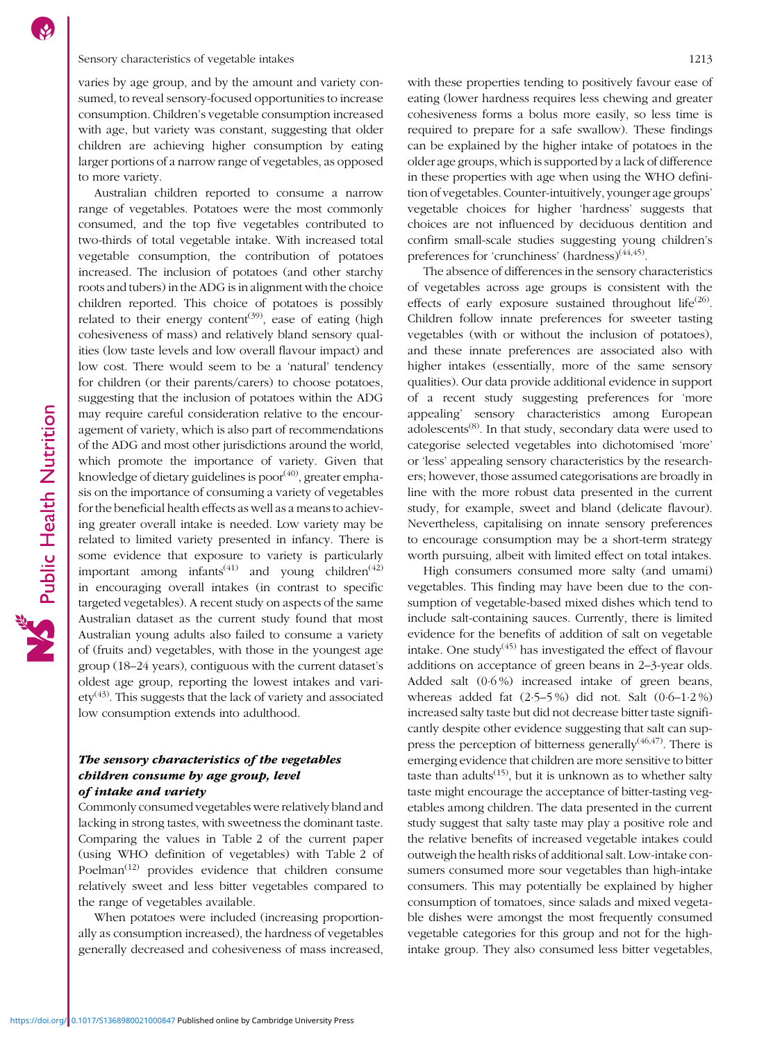### Sensory characteristics of vegetable intakes 1213

varies by age group, and by the amount and variety consumed, to reveal sensory-focused opportunities to increase consumption. Children's vegetable consumption increased with age, but variety was constant, suggesting that older children are achieving higher consumption by eating larger portions of a narrow range of vegetables, as opposed to more variety.

Australian children reported to consume a narrow range of vegetables. Potatoes were the most commonly consumed, and the top five vegetables contributed to two-thirds of total vegetable intake. With increased total vegetable consumption, the contribution of potatoes increased. The inclusion of potatoes (and other starchy roots and tubers) in the ADG is in alignment with the choice children reported. This choice of potatoes is possibly related to their energy content<sup>[\(39\)](#page-11-0)</sup>, ease of eating (high cohesiveness of mass) and relatively bland sensory qualities (low taste levels and low overall flavour impact) and low cost. There would seem to be a 'natural' tendency for children (or their parents/carers) to choose potatoes, suggesting that the inclusion of potatoes within the ADG may require careful consideration relative to the encouragement of variety, which is also part of recommendations of the ADG and most other jurisdictions around the world, which promote the importance of variety. Given that knowledge of dietary guidelines is  $poor<sup>(40)</sup>$  $poor<sup>(40)</sup>$  $poor<sup>(40)</sup>$ , greater emphasis on the importance of consuming a variety of vegetables for the beneficial health effects as well as a means to achieving greater overall intake is needed. Low variety may be related to limited variety presented in infancy. There is some evidence that exposure to variety is particularly important among infants<sup>([41](#page-11-0))</sup> and young children<sup>[\(42\)](#page-11-0)</sup> in encouraging overall intakes (in contrast to specific targeted vegetables). A recent study on aspects of the same Australian dataset as the current study found that most Australian young adults also failed to consume a variety of (fruits and) vegetables, with those in the youngest age group (18–24 years), contiguous with the current dataset's oldest age group, reporting the lowest intakes and vari- $\text{ety}^{(43)}$  $\text{ety}^{(43)}$  $\text{ety}^{(43)}$ . This suggests that the lack of variety and associated low consumption extends into adulthood.

# The sensory characteristics of the vegetables children consume by age group, level of intake and variety

Commonly consumed vegetables were relatively bland and lacking in strong tastes, with sweetness the dominant taste. Comparing the values in Table [2](#page-6-0) of the current paper (using WHO definition of vegetables) with Table [2](#page-6-0) of Poelman<sup>[\(12\)](#page-10-0)</sup> provides evidence that children consume relatively sweet and less bitter vegetables compared to the range of vegetables available.

When potatoes were included (increasing proportionally as consumption increased), the hardness of vegetables generally decreased and cohesiveness of mass increased, with these properties tending to positively favour ease of eating (lower hardness requires less chewing and greater cohesiveness forms a bolus more easily, so less time is required to prepare for a safe swallow). These findings can be explained by the higher intake of potatoes in the older age groups, which is supported by a lack of difference in these properties with age when using the WHO definition of vegetables. Counter-intuitively, younger age groups' vegetable choices for higher 'hardness' suggests that choices are not influenced by deciduous dentition and confirm small-scale studies suggesting young children's preferences for 'crunchiness' (hardness)<sup>([44,45\)](#page-11-0)</sup>.

The absence of differences in the sensory characteristics of vegetables across age groups is consistent with the effects of early exposure sustained throughout life<sup>[\(26](#page-10-0))</sup>. Children follow innate preferences for sweeter tasting vegetables (with or without the inclusion of potatoes), and these innate preferences are associated also with higher intakes (essentially, more of the same sensory qualities). Our data provide additional evidence in support of a recent study suggesting preferences for 'more appealing' sensory characteristics among European adolescents([8\)](#page-10-0). In that study, secondary data were used to categorise selected vegetables into dichotomised 'more' or 'less' appealing sensory characteristics by the researchers; however, those assumed categorisations are broadly in line with the more robust data presented in the current study, for example, sweet and bland (delicate flavour). Nevertheless, capitalising on innate sensory preferences to encourage consumption may be a short-term strategy worth pursuing, albeit with limited effect on total intakes.

High consumers consumed more salty (and umami) vegetables. This finding may have been due to the consumption of vegetable-based mixed dishes which tend to include salt-containing sauces. Currently, there is limited evidence for the benefits of addition of salt on vegetable intake. One study $(45)$  $(45)$  has investigated the effect of flavour additions on acceptance of green beans in 2–3-year olds. Added salt (0·6 %) increased intake of green beans, whereas added fat  $(2.5-5\%)$  did not. Salt  $(0.6-1.2\%)$ increased salty taste but did not decrease bitter taste significantly despite other evidence suggesting that salt can suppress the perception of bitterness generally $(46,47)$  $(46,47)$ . There is emerging evidence that children are more sensitive to bitter taste than adults<sup> $(15)$ </sup>, but it is unknown as to whether salty taste might encourage the acceptance of bitter-tasting vegetables among children. The data presented in the current study suggest that salty taste may play a positive role and the relative benefits of increased vegetable intakes could outweigh the health risks of additional salt. Low-intake consumers consumed more sour vegetables than high-intake consumers. This may potentially be explained by higher consumption of tomatoes, since salads and mixed vegetable dishes were amongst the most frequently consumed vegetable categories for this group and not for the highintake group. They also consumed less bitter vegetables,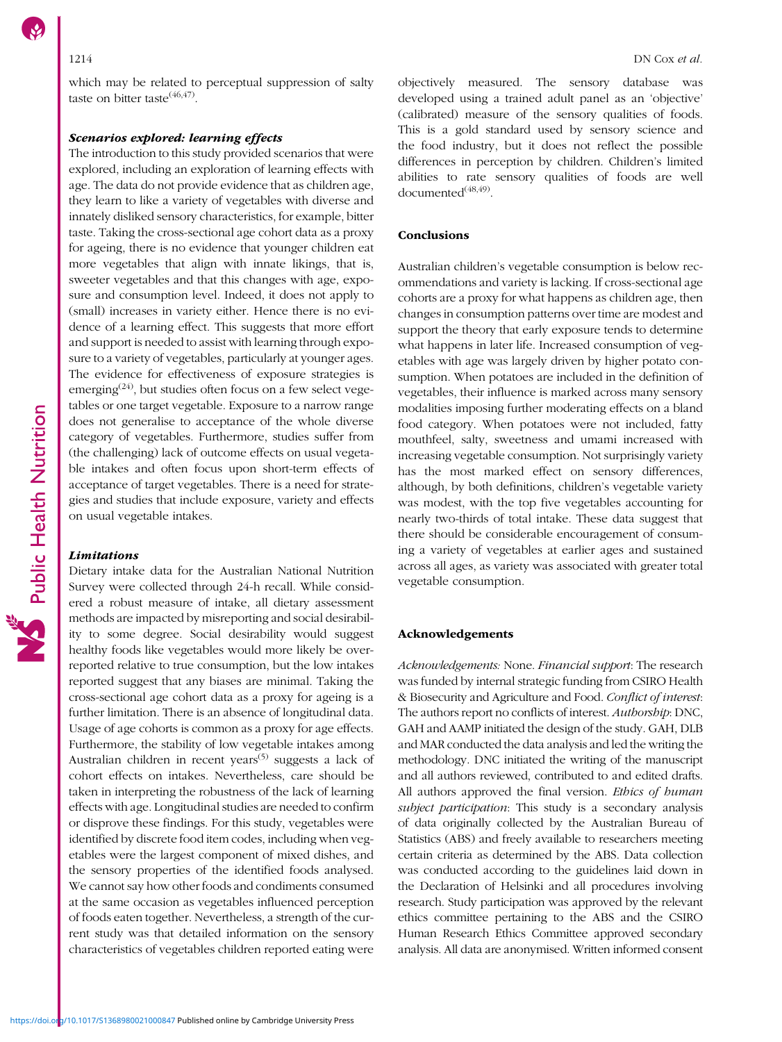which may be related to perceptual suppression of salty taste on bitter taste $(46,47)$ .

# Scenarios explored: learning effects

The introduction to this study provided scenarios that were explored, including an exploration of learning effects with age. The data do not provide evidence that as children age, they learn to like a variety of vegetables with diverse and innately disliked sensory characteristics, for example, bitter taste. Taking the cross-sectional age cohort data as a proxy for ageing, there is no evidence that younger children eat more vegetables that align with innate likings, that is, sweeter vegetables and that this changes with age, exposure and consumption level. Indeed, it does not apply to (small) increases in variety either. Hence there is no evidence of a learning effect. This suggests that more effort and support is needed to assist with learning through exposure to a variety of vegetables, particularly at younger ages. The evidence for effectiveness of exposure strategies is emerging<sup>([24](#page-10-0))</sup>, but studies often focus on a few select vegetables or one target vegetable. Exposure to a narrow range does not generalise to acceptance of the whole diverse category of vegetables. Furthermore, studies suffer from (the challenging) lack of outcome effects on usual vegetable intakes and often focus upon short-term effects of acceptance of target vegetables. There is a need for strategies and studies that include exposure, variety and effects on usual vegetable intakes.

### Limitations

Dietary intake data for the Australian National Nutrition Survey were collected through 24-h recall. While considered a robust measure of intake, all dietary assessment methods are impacted by misreporting and social desirability to some degree. Social desirability would suggest healthy foods like vegetables would more likely be overreported relative to true consumption, but the low intakes reported suggest that any biases are minimal. Taking the cross-sectional age cohort data as a proxy for ageing is a further limitation. There is an absence of longitudinal data. Usage of age cohorts is common as a proxy for age effects. Furthermore, the stability of low vegetable intakes among Australian children in recent years<sup>([5](#page-10-0))</sup> suggests a lack of cohort effects on intakes. Nevertheless, care should be taken in interpreting the robustness of the lack of learning effects with age. Longitudinal studies are needed to confirm or disprove these findings. For this study, vegetables were identified by discrete food item codes, including when vegetables were the largest component of mixed dishes, and the sensory properties of the identified foods analysed. We cannot say how other foods and condiments consumed at the same occasion as vegetables influenced perception of foods eaten together. Nevertheless, a strength of the current study was that detailed information on the sensory characteristics of vegetables children reported eating were

objectively measured. The sensory database was developed using a trained adult panel as an 'objective' (calibrated) measure of the sensory qualities of foods. This is a gold standard used by sensory science and the food industry, but it does not reflect the possible differences in perception by children. Children's limited abilities to rate sensory qualities of foods are well documented<sup>[\(48,49\)](#page-11-0)</sup>.

# **Conclusions**

Australian children's vegetable consumption is below recommendations and variety is lacking. If cross-sectional age cohorts are a proxy for what happens as children age, then changes in consumption patterns over time are modest and support the theory that early exposure tends to determine what happens in later life. Increased consumption of vegetables with age was largely driven by higher potato consumption. When potatoes are included in the definition of vegetables, their influence is marked across many sensory modalities imposing further moderating effects on a bland food category. When potatoes were not included, fatty mouthfeel, salty, sweetness and umami increased with increasing vegetable consumption. Not surprisingly variety has the most marked effect on sensory differences, although, by both definitions, children's vegetable variety was modest, with the top five vegetables accounting for nearly two-thirds of total intake. These data suggest that there should be considerable encouragement of consuming a variety of vegetables at earlier ages and sustained across all ages, as variety was associated with greater total vegetable consumption.

# Acknowledgements

Acknowledgements: None. Financial support: The research was funded by internal strategic funding from CSIRO Health & Biosecurity and Agriculture and Food. Conflict of interest: The authors report no conflicts of interest. Authorship: DNC, GAH and AAMP initiated the design of the study. GAH, DLB and MAR conducted the data analysis and led the writing the methodology. DNC initiated the writing of the manuscript and all authors reviewed, contributed to and edited drafts. All authors approved the final version. Ethics of human subject participation: This study is a secondary analysis of data originally collected by the Australian Bureau of Statistics (ABS) and freely available to researchers meeting certain criteria as determined by the ABS. Data collection was conducted according to the guidelines laid down in the Declaration of Helsinki and all procedures involving research. Study participation was approved by the relevant ethics committee pertaining to the ABS and the CSIRO Human Research Ethics Committee approved secondary analysis. All data are anonymised. Written informed consent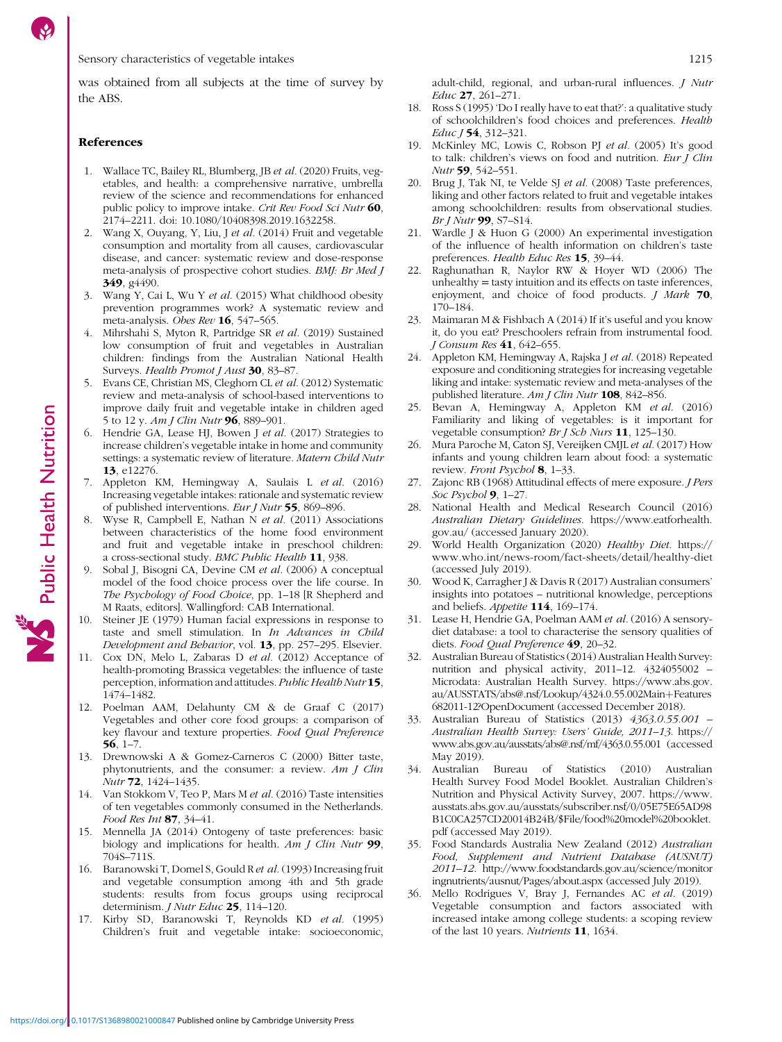<span id="page-10-0"></span>was obtained from all subjects at the time of survey by the ABS.

#### References

- 1. Wallace TC, Bailey RL, Blumberg, JB et al. (2020) Fruits, vegetables, and health: a comprehensive narrative, umbrella review of the science and recommendations for enhanced public policy to improve intake. Crit Rev Food Sci Nutr 60, 2174–2211. doi: [10.1080/10408398.2019.1632258.](https://doi.org/10.1080/10408398.2019.1632258)
- 2. Wang X, Ouyang, Y, Liu, J et al. (2014) Fruit and vegetable consumption and mortality from all causes, cardiovascular disease, and cancer: systematic review and dose-response meta-analysis of prospective cohort studies. BMJ: Br Med J 349, g<sub>4490</sub>.
- 3. Wang Y, Cai L, Wu Y et al. (2015) What childhood obesity prevention programmes work? A systematic review and meta-analysis. Obes Rev 16, 547-565.
- 4. Mihrshahi S, Myton R, Partridge SR et al. (2019) Sustained low consumption of fruit and vegetables in Australian children: findings from the Australian National Health Surveys. Health Promot J Aust 30, 83-87.
- 5. Evans CE, Christian MS, Cleghorn CL et al. (2012) Systematic review and meta-analysis of school-based interventions to improve daily fruit and vegetable intake in children aged 5 to 12 y. Am J Clin Nutr 96, 889–901.
- 6. Hendrie GA, Lease HJ, Bowen J et al. (2017) Strategies to increase children's vegetable intake in home and community settings: a systematic review of literature. Matern Child Nutr 13, e12276.
- 7. Appleton KM, Hemingway A, Saulais L et al. (2016) Increasing vegetable intakes: rationale and systematic review of published interventions. Eur J Nutr 55, 869–896.
- Wyse R, Campbell E, Nathan N et al. (2011) Associations between characteristics of the home food environment and fruit and vegetable intake in preschool children: a cross-sectional study. BMC Public Health 11, 938.
- 9. Sobal J, Bisogni CA, Devine CM et al. (2006) A conceptual model of the food choice process over the life course. In The Psychology of Food Choice, pp. 1-18 [R Shepherd and M Raats, editors]. Wallingford: CAB International.
- 10. Steiner JE (1979) Human facial expressions in response to taste and smell stimulation. In In Advances in Child Development and Behavior, vol. 13, pp. 257-295. Elsevier.
- 11. Cox DN, Melo L, Zabaras D et al. (2012) Acceptance of health-promoting Brassica vegetables: the influence of taste perception, information and attitudes. Public Health Nutr 15, 1474–1482.
- 12. Poelman AAM, Delahunty CM & de Graaf C (2017) Vegetables and other core food groups: a comparison of key flavour and texture properties. Food Qual Preference 56, 1–7.
- 13. Drewnowski A & Gomez-Carneros C (2000) Bitter taste, phytonutrients, and the consumer: a review. Am J Clin Nutr 72, 1424–1435.
- 14. Van Stokkom V, Teo P, Mars M et al. (2016) Taste intensities of ten vegetables commonly consumed in the Netherlands. Food Res Int 87, 34–41.
- 15. Mennella JA (2014) Ontogeny of taste preferences: basic biology and implications for health. Am J Clin Nutr 99, 704S–711S.
- 16. Baranowski T, Domel S, Gould R et al. (1993) Increasing fruit and vegetable consumption among 4th and 5th grade students: results from focus groups using reciprocal determinism. *J Nutr Educ* 25, 114-120.
- 17. Kirby SD, Baranowski T, Reynolds KD et al. (1995) Children's fruit and vegetable intake: socioeconomic,

adult-child, regional, and urban-rural influences. J Nutr Educ 27, 261–271.

- 18. Ross S (1995) 'Do I really have to eat that?': a qualitative study of schoolchildren's food choices and preferences. Health Educ J 54, 312–321.
- 19. McKinley MC, Lowis C, Robson PJ et al. (2005) It's good to talk: children's views on food and nutrition. Eur  $\int$  Clin Nutr 59, 542–551.
- 20. Brug J, Tak NI, te Velde SJ et al. (2008) Taste preferences, liking and other factors related to fruit and vegetable intakes among schoolchildren: results from observational studies. Br J Nutr 99, S7–S14.
- 21. Wardle J & Huon G (2000) An experimental investigation of the influence of health information on children's taste preferences. Health Educ Res 15, 39–44.
- 22. Raghunathan R, Naylor RW & Hoyer WD (2006) The unhealthy = tasty intuition and its effects on taste inferences, enjoyment, and choice of food products. *J Mark* 70, 170–184.
- 23. Maimaran M & Fishbach A (2014) If it's useful and you know it, do you eat? Preschoolers refrain from instrumental food. J Consum Res 41, 642–655.
- 24. Appleton KM, Hemingway A, Rajska J et al. (2018) Repeated exposure and conditioning strategies for increasing vegetable liking and intake: systematic review and meta-analyses of the published literature. Am J Clin Nutr 108, 842-856.
- 25. Bevan A, Hemingway A, Appleton KM et al. (2016) Familiarity and liking of vegetables: is it important for vegetable consumption? Br J Sch Nurs 11, 125-130.
- 26. Mura Paroche M, Caton SJ, Vereijken CMJL et al. (2017) How infants and young children learn about food: a systematic review. Front Psychol 8, 1-33.
- 27. Zajonc RB (1968) Attitudinal effects of mere exposure. J Pers Soc Psychol **9**, 1-27.
- 28. National Health and Medical Research Council (2016) Australian Dietary Guidelines. [https://www.eatforhealth.](https://www.eatforhealth.gov.au/) [gov.au/](https://www.eatforhealth.gov.au/) (accessed January 2020).
- 29. World Health Organization (2020) Healthy Diet. [https://](https://www.who.int/news-room/fact-sheets/detail/healthy-diet) [www.who.int/news-room/fact-sheets/detail/healthy-diet](https://www.who.int/news-room/fact-sheets/detail/healthy-diet) (accessed July 2019).
- 30. Wood K, Carragher J & Davis R (2017) Australian consumers' insights into potatoes – nutritional knowledge, perceptions and beliefs. Appetite 114, 169–174.
- 31. Lease H, Hendrie GA, Poelman AAM et al. (2016) A sensorydiet database: a tool to characterise the sensory qualities of diets. Food Qual Preference 49, 20–32.
- 32. Australian Bureau of Statistics (2014) Australian Health Survey: nutrition and physical activity, 2011–12. 4324055002 – Microdata: Australian Health Survey. [https://www.abs.gov.](https://www.abs.gov.au/AUSSTATS/abs@.nsf/Lookup/4324.0.55.002Main+Features682011-12?OpenDocument) [au/AUSSTATS/abs@.nsf/Lookup/4324.0.55.002Main](https://www.abs.gov.au/AUSSTATS/abs@.nsf/Lookup/4324.0.55.002Main+Features682011-12?OpenDocument)+[Features](https://www.abs.gov.au/AUSSTATS/abs@.nsf/Lookup/4324.0.55.002Main+Features682011-12?OpenDocument) [682011-12?OpenDocument](https://www.abs.gov.au/AUSSTATS/abs@.nsf/Lookup/4324.0.55.002Main+Features682011-12?OpenDocument) (accessed December 2018).
- 33. Australian Bureau of Statistics (2013) 4363.0.55.001 Australian Health Survey: Users' Guide, 2011–13. [https://](https://www.abs.gov.au/ausstats/abs@.nsf/mf/4363.0.55.001) [www.abs.gov.au/ausstats/abs@.nsf/mf/4363.0.55.001](https://www.abs.gov.au/ausstats/abs@.nsf/mf/4363.0.55.001) (accessed May 2019).
- 34. Australian Bureau of Statistics (2010) Australian Health Survey Food Model Booklet. Australian Children's Nutrition and Physical Activity Survey, 2007. [https://www.](https://www.ausstats.abs.gov.au/ausstats/subscriber.nsf/0/05E75E65AD98B1C0CA257CD20014B24B/$File/food%20model%20booklet.pdf) [ausstats.abs.gov.au/ausstats/subscriber.nsf/0/05E75E65AD98](https://www.ausstats.abs.gov.au/ausstats/subscriber.nsf/0/05E75E65AD98B1C0CA257CD20014B24B/$File/food%20model%20booklet.pdf) [B1C0CA257CD20014B24B/\\$File/food%20model%20booklet.](https://www.ausstats.abs.gov.au/ausstats/subscriber.nsf/0/05E75E65AD98B1C0CA257CD20014B24B/$File/food%20model%20booklet.pdf) [pdf](https://www.ausstats.abs.gov.au/ausstats/subscriber.nsf/0/05E75E65AD98B1C0CA257CD20014B24B/$File/food%20model%20booklet.pdf) (accessed May 2019).
- 35. Food Standards Australia New Zealand (2012) Australian Food, Supplement and Nutrient Database (AUSNUT) 2011–12. [http://www.foodstandards.gov.au/science/monitor](http://www.foodstandards.gov.au/science/monitoringnutrients/ausnut/Pages/about.aspx) [ingnutrients/ausnut/Pages/about.aspx](http://www.foodstandards.gov.au/science/monitoringnutrients/ausnut/Pages/about.aspx) (accessed July 2019).
- 36. Mello Rodrigues V, Bray J, Fernandes AC et al. (2019) Vegetable consumption and factors associated with increased intake among college students: a scoping review of the last 10 years. Nutrients 11, 1634.